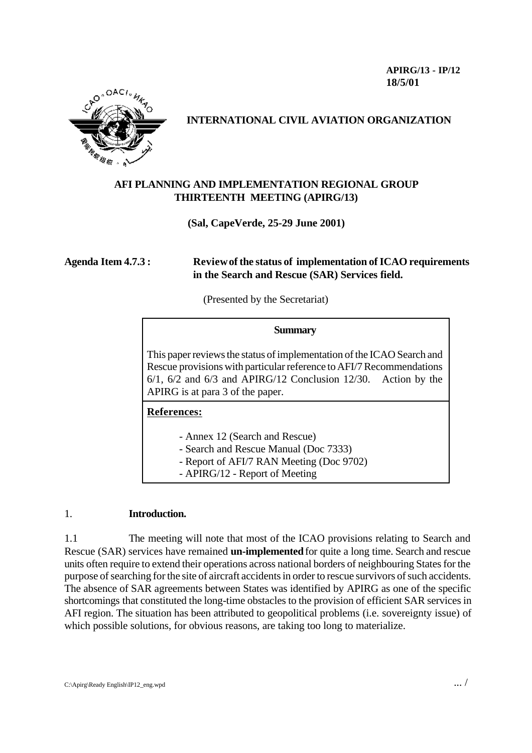**APIRG/13 - IP/12 18/5/01**



## **INTERNATIONAL CIVIL AVIATION ORGANIZATION**

## **AFI PLANNING AND IMPLEMENTATION REGIONAL GROUP THIRTEENTH MEETING (APIRG/13)**

**(Sal, CapeVerde, 25-29 June 2001)**

**Agenda Item 4.7.3 : Review of the status of implementation of ICAO requirements in the Search and Rescue (SAR) Services field.**

(Presented by the Secretariat)

#### **Summary**

This paper reviews the status of implementation of the ICAO Search and Rescue provisions with particular reference to AFI/7 Recommendations 6/1, 6/2 and 6/3 and APIRG/12 Conclusion 12/30. Action by the APIRG is at para 3 of the paper.

**References:**

- Annex 12 (Search and Rescue)
- Search and Rescue Manual (Doc 7333)
- Report of AFI/7 RAN Meeting (Doc 9702)
- APIRG/12 Report of Meeting

### 1. **Introduction.**

1.1 The meeting will note that most of the ICAO provisions relating to Search and Rescue (SAR) services have remained **un-implemented** for quite a long time. Search and rescue units often require to extend their operations across national borders of neighbouring States for the purpose of searching for the site of aircraft accidents in order to rescue survivors of such accidents. The absence of SAR agreements between States was identified by APIRG as one of the specific shortcomings that constituted the long-time obstacles to the provision of efficient SAR services in AFI region. The situation has been attributed to geopolitical problems (i.e. sovereignty issue) of which possible solutions, for obvious reasons, are taking too long to materialize.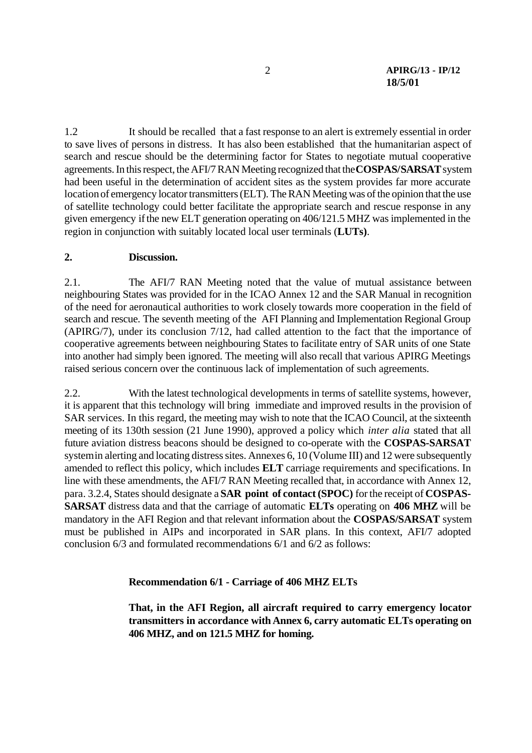1.2 It should be recalled that a fast response to an alert is extremely essential in order to save lives of persons in distress. It has also been established that the humanitarian aspect of search and rescue should be the determining factor for States to negotiate mutual cooperative agreements. In this respect, the AFI/7 RAN Meeting recognized that the **COSPAS/SARSAT** system had been useful in the determination of accident sites as the system provides far more accurate location of emergency locator transmitters (ELT). The RAN Meeting was of the opinion that the use of satellite technology could better facilitate the appropriate search and rescue response in any given emergency if the new ELT generation operating on 406/121.5 MHZ was implemented in the region in conjunction with suitably located local user terminals (**LUTs)**.

## **2. Discussion.**

2.1. The AFI/7 RAN Meeting noted that the value of mutual assistance between neighbouring States was provided for in the ICAO Annex 12 and the SAR Manual in recognition of the need for aeronautical authorities to work closely towards more cooperation in the field of search and rescue. The seventh meeting of the AFI Planning and Implementation Regional Group (APIRG/7), under its conclusion 7/12, had called attention to the fact that the importance of cooperative agreements between neighbouring States to facilitate entry of SAR units of one State into another had simply been ignored. The meeting will also recall that various APIRG Meetings raised serious concern over the continuous lack of implementation of such agreements.

2.2. With the latest technological developments in terms of satellite systems, however, it is apparent that this technology will bring immediate and improved results in the provision of SAR services. In this regard, the meeting may wish to note that the ICAO Council, at the sixteenth meeting of its 130th session (21 June 1990), approved a policy which *inter alia* stated that all future aviation distress beacons should be designed to co-operate with the **COSPAS-SARSAT** system in alerting and locating distress sites. Annexes 6, 10 (Volume III) and 12 were subsequently amended to reflect this policy, which includes **ELT** carriage requirements and specifications. In line with these amendments, the AFI/7 RAN Meeting recalled that, in accordance with Annex 12, para. 3.2.4, States should designate a **SAR point of contact (SPOC)** for the receipt of **COSPAS-SARSAT** distress data and that the carriage of automatic **ELTs** operating on **406 MHZ** will be mandatory in the AFI Region and that relevant information about the **COSPAS/SARSAT** system must be published in AIPs and incorporated in SAR plans. In this context, AFI/7 adopted conclusion 6/3 and formulated recommendations 6/1 and 6/2 as follows:

## **Recommendation 6/1 - Carriage of 406 MHZ ELTs**

**That, in the AFI Region, all aircraft required to carry emergency locator transmitters in accordance with Annex 6, carry automatic ELTs operating on 406 MHZ, and on 121.5 MHZ for homing.**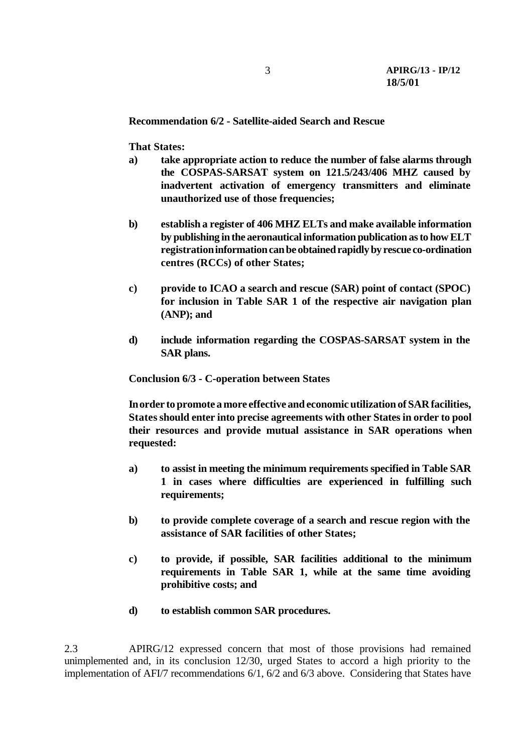**Recommendation 6/2 - Satellite-aided Search and Rescue**

**That States:**

- **a) take appropriate action to reduce the number of false alarms through the COSPAS-SARSAT system on 121.5/243/406 MHZ caused by inadvertent activation of emergency transmitters and eliminate unauthorized use of those frequencies;**
- **b) establish a register of 406 MHZ ELTs and make available information by publishing in the aeronautical information publication as to how ELT registration information can be obtained rapidly by rescue co-ordination centres (RCCs) of other States;**
- **c) provide to ICAO a search and rescue (SAR) point of contact (SPOC) for inclusion in Table SAR 1 of the respective air navigation plan (ANP); and**
- **d) include information regarding the COSPAS-SARSAT system in the SAR plans.**

**Conclusion 6/3 - C-operation between States**

**In order to promote a more effective and economic utilization of SAR facilities, States should enter into precise agreements with other States in order to pool their resources and provide mutual assistance in SAR operations when requested:**

- **a) to assist in meeting the minimum requirements specified in Table SAR 1 in cases where difficulties are experienced in fulfilling such requirements;**
- **b) to provide complete coverage of a search and rescue region with the assistance of SAR facilities of other States;**
- **c) to provide, if possible, SAR facilities additional to the minimum requirements in Table SAR 1, while at the same time avoiding prohibitive costs; and**
- **d) to establish common SAR procedures.**

2.3 APIRG/12 expressed concern that most of those provisions had remained unimplemented and, in its conclusion 12/30, urged States to accord a high priority to the implementation of AFI/7 recommendations 6/1, 6/2 and 6/3 above. Considering that States have